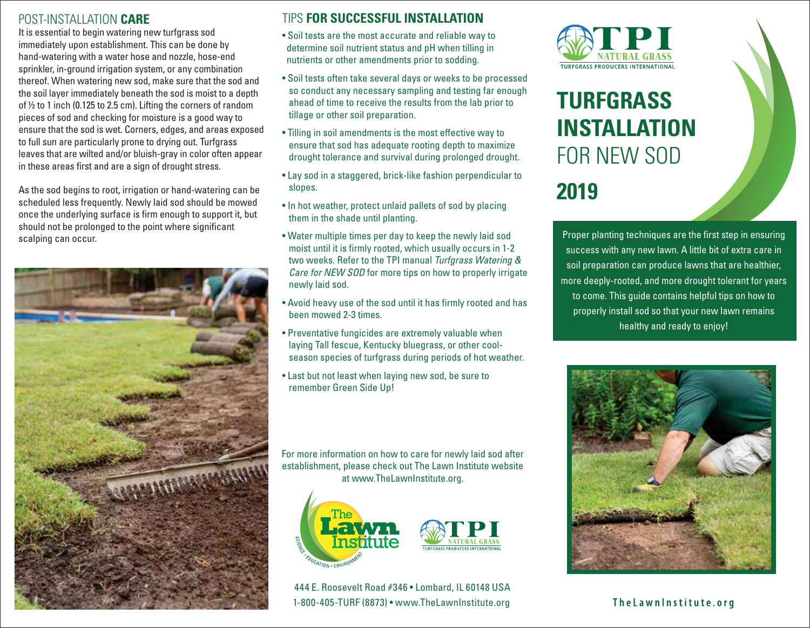### POST-INSTALLATION **CARE**

It is essential to begin watering new turfgrass sod immediately upon establishment. This can be done by hand-watering with a water hose and nozzle, hose-end sprinkler, in-ground irrigation system, or any combination thereof. When watering new sod, make sure that the sod and the soil layer immediately beneath the sod is moist to a depth of ½ to 1 inch (0.125 to 2.5 cm). Lifting the corners of random pieces of sod and checking for moisture is a good way to ensure that the sod is wet. Corners, edges, and areas exposed to full sun are particularly prone to drying out. Turfgrass leaves that are wilted and/or bluish-gray in color often appear in these areas first and are a sign of drought stress.

As the sod begins to root, irrigation or hand-watering can be scheduled less frequently. Newly laid sod should be mowed once the underlying surface is firm enough to support it, but should not be prolonged to the point where significant scalping can occur.



## TIPS **FOR SUCCESSFUL INSTALLATION**

- Soil tests are the most accurate and reliable way to determine soil nutrient status and pH when tilling in nutrients or other amendments prior to sodding.
- Soil tests often take several days or weeks to be processed so conduct any necessary sampling and testing far enough ahead of time to receive the results from the lab prior to tillage or other soil preparation.
- Tilling in soil amendments is the most effective way to ensure that sod has adequate rooting depth to maximize drought tolerance and survival during prolonged drought.
- Lay sod in a staggered, brick-like fashion perpendicular to slopes.
- In hot weather, protect unlaid pallets of sod by placing them in the shade until planting.
- Water multiple times per day to keep the newly laid sod moist until it is firmly rooted, which usually occurs in 1-2 two weeks. Refer to the TPI manual *Turfgrass Watering & Care for NEW SOD* for more tips on how to properly irrigate newly laid sod.
- Avoid heavy use of the sod until it has firmly rooted and has been mowed 2-3 times.
- Preventative fungicides are extremely valuable when laying Tall fescue, Kentucky bluegrass, or other cool season species of turfgrass during periods of hot weather.
- Last but not least when laying new sod, be sure to remember Green Side Up!

For more information on how to care for newly laid sod after establishment, please check out The Lawn Institute website at www.TheLawnInstitute.org.



444 E. Roosevelt Road #346 • Lombard, IL 60148 USA 1-800-405-TURF (8873) • www.TheLawnInstitute.org



# **TURFGRASS INSTALLATION** FOR NEW SOD **2019**

Proper planting techniques are the first step in ensuring success with any new lawn. A little bit of extra care in soil preparation can produce lawns that are healthier, more deeply-rooted, and more drought tolerant for years to come. This guide contains helpful tips on how to properly install sod so that your new lawn remains healthy and ready to enjoy!



The Lawn Institute.org